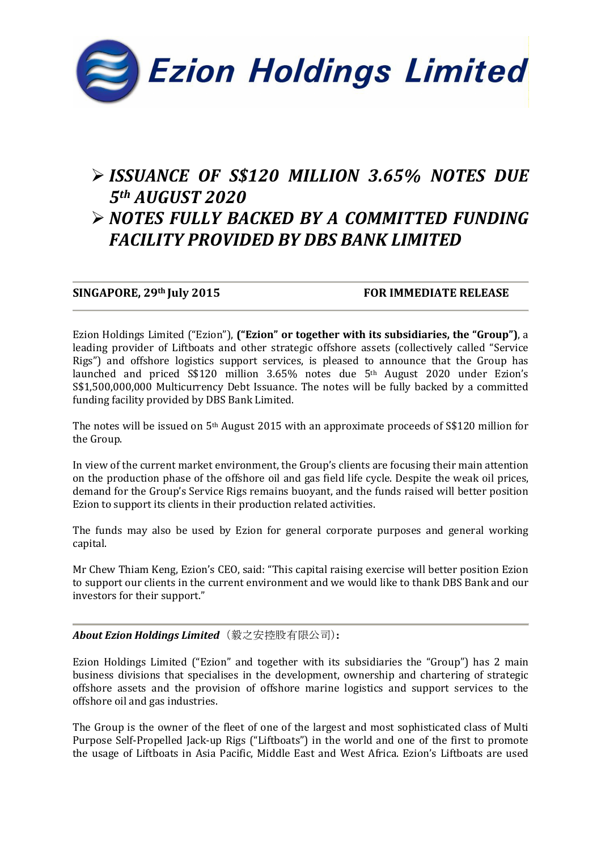

# ISSUANCE OF S\$120 MILLION 3.65% NOTES DUE 5th AUGUST 2020

## NOTES FULLY BACKED BY A COMMITTED FUNDING FACILITY PROVIDED BY DBS BANK LIMITED

SINGAPORE, 29th July 2015 FOR IMMEDIATE RELEASE

Ezion Holdings Limited ("Ezion"), ("Ezion" or together with its subsidiaries, the "Group"), a leading provider of Liftboats and other strategic offshore assets (collectively called "Service Rigs") and offshore logistics support services, is pleased to announce that the Group has launched and priced S\$120 million 3.65% notes due 5th August 2020 under Ezion's S\$1,500,000,000 Multicurrency Debt Issuance. The notes will be fully backed by a committed funding facility provided by DBS Bank Limited.

The notes will be issued on 5th August 2015 with an approximate proceeds of S\$120 million for the Group.

In view of the current market environment, the Group's clients are focusing their main attention on the production phase of the offshore oil and gas field life cycle. Despite the weak oil prices, demand for the Group's Service Rigs remains buoyant, and the funds raised will better position Ezion to support its clients in their production related activities.

The funds may also be used by Ezion for general corporate purposes and general working capital.

Mr Chew Thiam Keng, Ezion's CEO, said: "This capital raising exercise will better position Ezion to support our clients in the current environment and we would like to thank DBS Bank and our investors for their support."

## About Ezion Holdings Limited (毅之安控股有限公司):

Ezion Holdings Limited ("Ezion" and together with its subsidiaries the "Group") has 2 main business divisions that specialises in the development, ownership and chartering of strategic offshore assets and the provision of offshore marine logistics and support services to the offshore oil and gas industries.

The Group is the owner of the fleet of one of the largest and most sophisticated class of Multi Purpose Self-Propelled Jack-up Rigs ("Liftboats") in the world and one of the first to promote the usage of Liftboats in Asia Pacific, Middle East and West Africa. Ezion's Liftboats are used